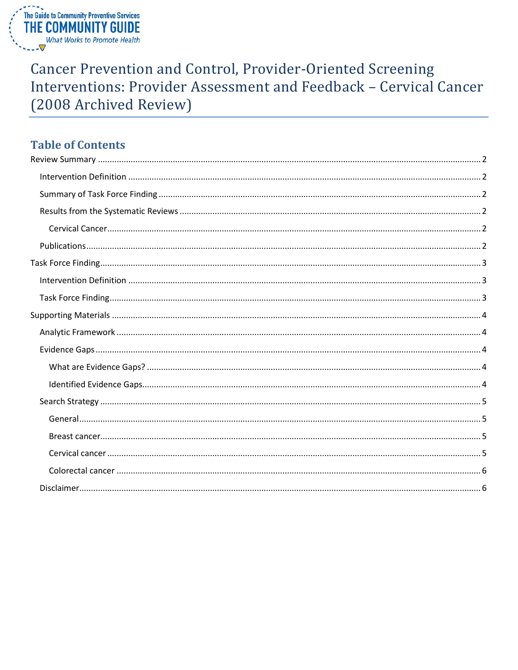

**Cancer Prevention and Control, Provider-Oriented Screening** Interventions: Provider Assessment and Feedback - Cervical Cancer (2008 Archived Review)

# **Table of Contents**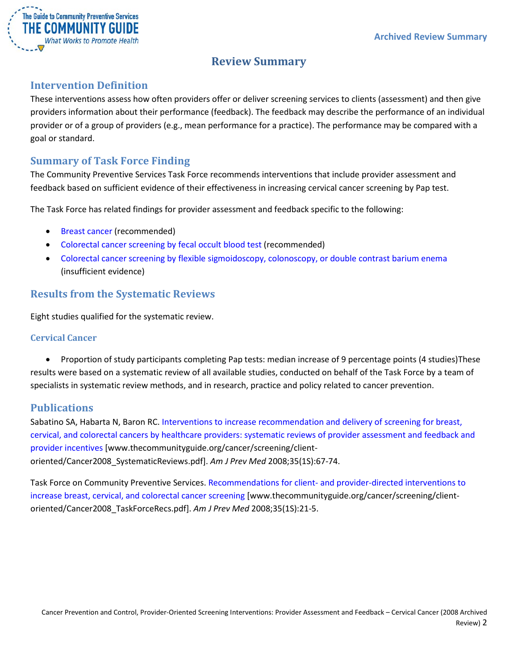

# **Review Summary**

# <span id="page-1-1"></span><span id="page-1-0"></span>**Intervention Definition**

These interventions assess how often providers offer or deliver screening services to clients (assessment) and then give providers information about their performance (feedback). The feedback may describe the performance of an individual provider or of a group of providers (e.g., mean performance for a practice). The performance may be compared with a goal or standard.

# <span id="page-1-2"></span>**Summary of Task Force Finding**

The Community Preventive Services Task Force recommends interventions that include provider assessment and feedback based on sufficient evidence of their effectiveness in increasing cervical cancer screening by Pap test.

The Task Force has related findings for provider assessment and feedback specific to the following:

- Breast cancer (recommended)
- Colorectal cancer screening by fecal occult blood test (recommended)
- Colorectal cancer screening by flexible sigmoidoscopy, colonoscopy, or double contrast barium enema (insufficient evidence)

# <span id="page-1-3"></span>**Results from the Systematic Reviews**

Eight studies qualified for the systematic review.

#### <span id="page-1-4"></span>**Cervical Cancer**

• Proportion of study participants completing Pap tests: median increase of 9 percentage points (4 studies)These results were based on a systematic review of all available studies, conducted on behalf of the Task Force by a team of specialists in systematic review methods, and in research, practice and policy related to cancer prevention.

### <span id="page-1-5"></span>**Publications**

Sabatino SA, Habarta N, Baron RC. [Interventions to increase recommendation and delivery of screening for breast,](http://www.thecommunityguide.org/cancer/screening/client-oriented/Cancer2008_SystematicReviews.pdf)  [cervical, and colorectal cancers by healthcare providers: systematic reviews of provider assessment and feedback and](http://www.thecommunityguide.org/cancer/screening/client-oriented/Cancer2008_SystematicReviews.pdf)  [provider incentives](http://www.thecommunityguide.org/cancer/screening/client-oriented/Cancer2008_SystematicReviews.pdf) [www.thecommunityguide.org/cancer/screening/clientoriented/Cancer2008\_SystematicReviews.pdf]. *Am J Prev Med* 2008;35(1S):67-74.

Task Force on Community Preventive Services. Recommendations for client- [and provider-directed interventions to](http://www.thecommunityguide.org/cancer/screening/client-oriented/Cancer2008_TaskForceRecs.pdf)  [increase breast, cervical, and colorectal cancer screening](http://www.thecommunityguide.org/cancer/screening/client-oriented/Cancer2008_TaskForceRecs.pdf) [www.thecommunityguide.org/cancer/screening/clientoriented/Cancer2008\_TaskForceRecs.pdf]. *Am J Prev Med* 2008;35(1S):21-5.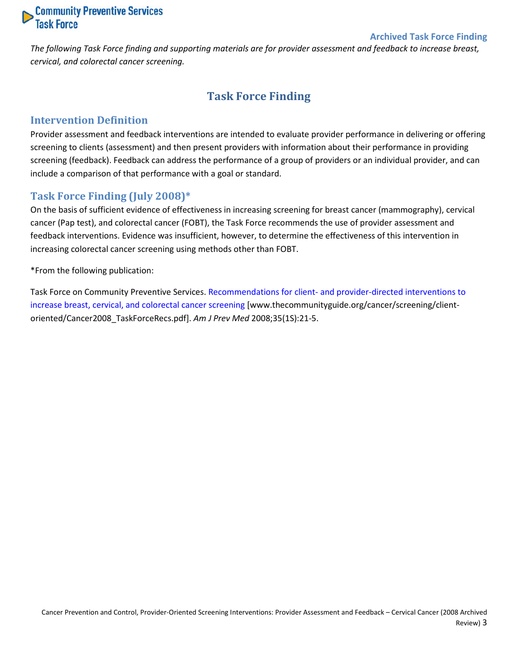

#### **Archived Task Force Finding**

<span id="page-2-0"></span>*The following Task Force finding and supporting materials are for provider assessment and feedback to increase breast, cervical, and colorectal cancer screening.*

# **Task Force Finding**

#### <span id="page-2-1"></span>**Intervention Definition**

Provider assessment and feedback interventions are intended to evaluate provider performance in delivering or offering screening to clients (assessment) and then present providers with information about their performance in providing screening (feedback). Feedback can address the performance of a group of providers or an individual provider, and can include a comparison of that performance with a goal or standard.

#### <span id="page-2-2"></span>**Task Force Finding (July 2008)\***

On the basis of sufficient evidence of effectiveness in increasing screening for breast cancer (mammography), cervical cancer (Pap test), and colorectal cancer (FOBT), the Task Force recommends the use of provider assessment and feedback interventions. Evidence was insufficient, however, to determine the effectiveness of this intervention in increasing colorectal cancer screening using methods other than FOBT.

\*From the following publication:

Task Force on Community Preventive Services. Recommendations for client- [and provider-directed interventions to](http://www.thecommunityguide.org/cancer/screening/client-oriented/Cancer2008_TaskForceRecs.pdf)  [increase breast, cervical, and colorectal cancer screening](http://www.thecommunityguide.org/cancer/screening/client-oriented/Cancer2008_TaskForceRecs.pdf) [www.thecommunityguide.org/cancer/screening/clientoriented/Cancer2008\_TaskForceRecs.pdf]. *Am J Prev Med* 2008;35(1S):21-5.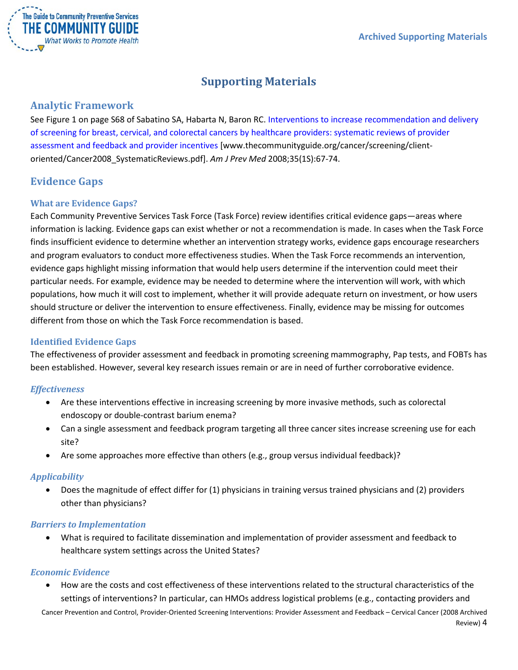

# **Supporting Materials**

### <span id="page-3-1"></span><span id="page-3-0"></span>**Analytic Framework**

See Figure 1 on page S68 of Sabatino SA, Habarta N, Baron RC. Interventions to increase recommendation and delivery [of screening for breast, cervical, and colorectal cancers by healthcare providers: systematic reviews of provider](http://www.thecommunityguide.org/cancer/screening/client-oriented/Cancer2008_SystematicReviews.pdf)  [assessment and feedback and provider incentives](http://www.thecommunityguide.org/cancer/screening/client-oriented/Cancer2008_SystematicReviews.pdf) [www.thecommunityguide.org/cancer/screening/clientoriented/Cancer2008\_SystematicReviews.pdf]. *Am J Prev Med* 2008;35(1S):67-74.

# <span id="page-3-2"></span>**Evidence Gaps**

#### <span id="page-3-3"></span>**What are Evidence Gaps?**

Each Community Preventive Services Task Force (Task Force) review identifies critical evidence gaps—areas where information is lacking. Evidence gaps can exist whether or not a recommendation is made. In cases when the Task Force finds insufficient evidence to determine whether an intervention strategy works, evidence gaps encourage researchers and program evaluators to conduct more effectiveness studies. When the Task Force recommends an intervention, evidence gaps highlight missing information that would help users determine if the intervention could meet their particular needs. For example, evidence may be needed to determine where the intervention will work, with which populations, how much it will cost to implement, whether it will provide adequate return on investment, or how users should structure or deliver the intervention to ensure effectiveness. Finally, evidence may be missing for outcomes different from those on which the Task Force recommendation is based.

#### <span id="page-3-4"></span>**Identified Evidence Gaps**

The effectiveness of provider assessment and feedback in promoting screening mammography, Pap tests, and FOBTs has been established. However, several key research issues remain or are in need of further corroborative evidence.

#### *Effectiveness*

- Are these interventions effective in increasing screening by more invasive methods, such as colorectal endoscopy or double-contrast barium enema?
- Can a single assessment and feedback program targeting all three cancer sites increase screening use for each site?
- Are some approaches more effective than others (e.g., group versus individual feedback)?

#### *Applicability*

• Does the magnitude of effect differ for (1) physicians in training versus trained physicians and (2) providers other than physicians?

#### *Barriers to Implementation*

• What is required to facilitate dissemination and implementation of provider assessment and feedback to healthcare system settings across the United States?

#### *Economic Evidence*

• How are the costs and cost effectiveness of these interventions related to the structural characteristics of the settings of interventions? In particular, can HMOs address logistical problems (e.g., contacting providers and

Cancer Prevention and Control, Provider-Oriented Screening Interventions: Provider Assessment and Feedback – Cervical Cancer (2008 Archived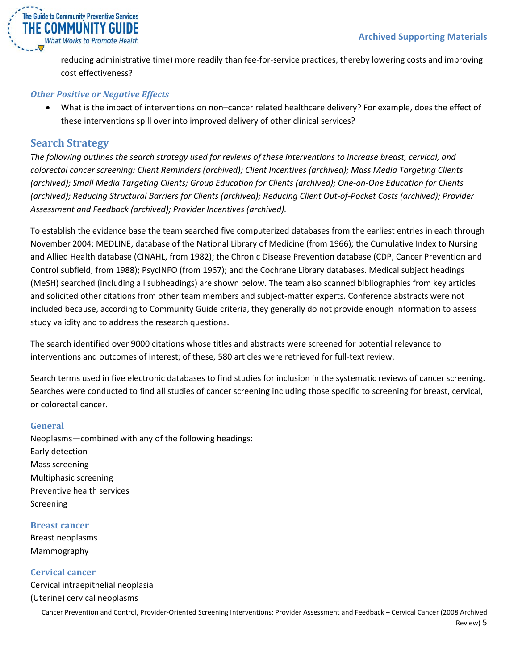

reducing administrative time) more readily than fee-for-service practices, thereby lowering costs and improving cost effectiveness?

#### *Other Positive or Negative Effects*

• What is the impact of interventions on non–cancer related healthcare delivery? For example, does the effect of these interventions spill over into improved delivery of other clinical services?

## <span id="page-4-0"></span>**Search Strategy**

*The following outlines the search strategy used for reviews of these interventions to increase breast, cervical, and colorectal cancer screening: Client Reminders (archived); Client Incentives (archived); Mass Media Targeting Clients (archived); Small Media Targeting Clients; Group Education for Clients (archived); One-on-One Education for Clients (archived); Reducing Structural Barriers for Clients (archived); Reducing Client Out-of-Pocket Costs (archived); Provider Assessment and Feedback (archived); Provider Incentives (archived).*

To establish the evidence base the team searched five computerized databases from the earliest entries in each through November 2004: MEDLINE, database of the National Library of Medicine (from 1966); the Cumulative Index to Nursing and Allied Health database (CINAHL, from 1982); the Chronic Disease Prevention database (CDP, Cancer Prevention and Control subfield, from 1988); PsycINFO (from 1967); and the Cochrane Library databases. Medical subject headings (MeSH) searched (including all subheadings) are shown below. The team also scanned bibliographies from key articles and solicited other citations from other team members and subject-matter experts. Conference abstracts were not included because, according to Community Guide criteria, they generally do not provide enough information to assess study validity and to address the research questions.

The search identified over 9000 citations whose titles and abstracts were screened for potential relevance to interventions and outcomes of interest; of these, 580 articles were retrieved for full-text review.

Search terms used in five electronic databases to find studies for inclusion in the systematic reviews of cancer screening. Searches were conducted to find all studies of cancer screening including those specific to screening for breast, cervical, or colorectal cancer.

#### <span id="page-4-1"></span>**General**

Neoplasms—combined with any of the following headings: Early detection Mass screening Multiphasic screening Preventive health services Screening

#### <span id="page-4-2"></span>**Breast cancer** Breast neoplasms

Mammography

#### <span id="page-4-3"></span>**Cervical cancer**

Cervical intraepithelial neoplasia (Uterine) cervical neoplasms

Cancer Prevention and Control, Provider-Oriented Screening Interventions: Provider Assessment and Feedback – Cervical Cancer (2008 Archived Review) 5